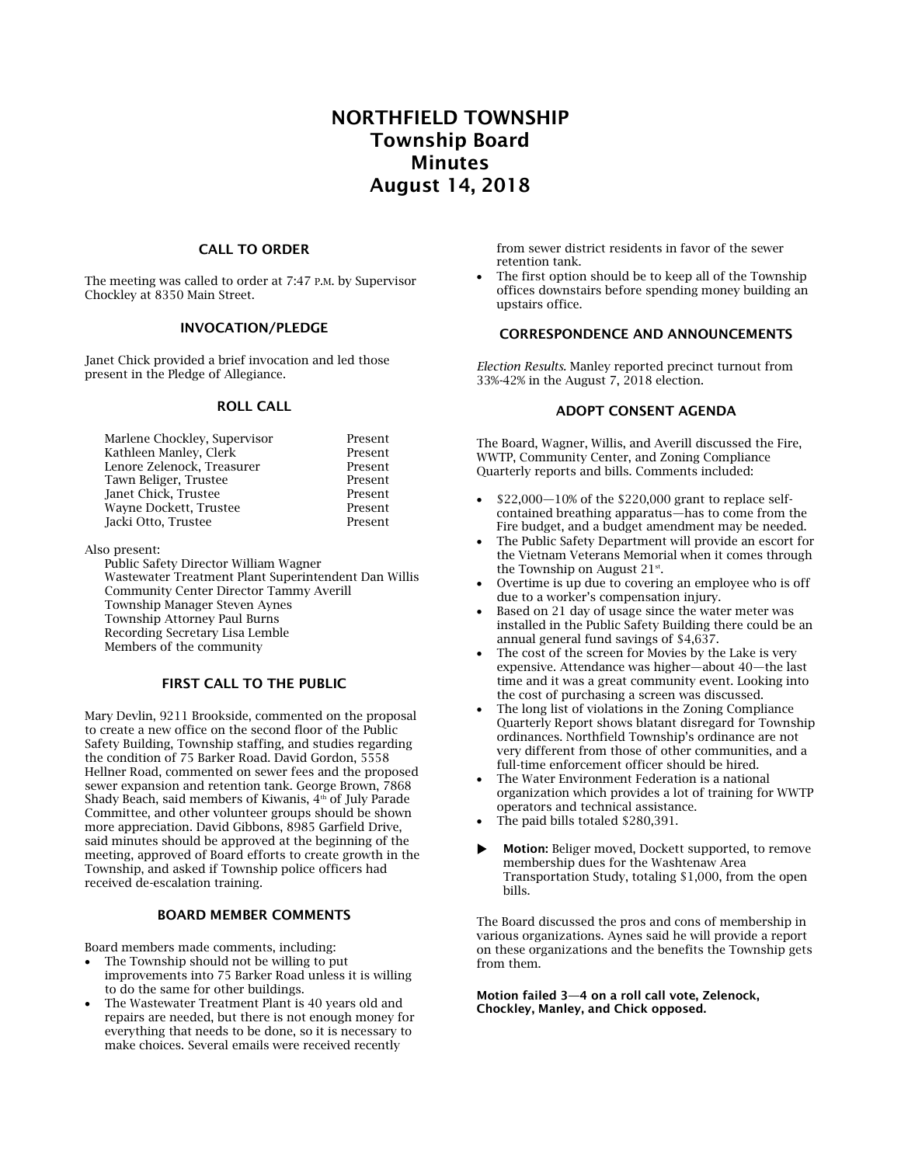# NORTHFIELD TOWNSHIP Township Board Minutes August 14, 2018

### CALL TO ORDER

The meeting was called to order at 7:47 P.M. by Supervisor Chockley at 8350 Main Street.

#### INVOCATION/PLEDGE

Janet Chick provided a brief invocation and led those present in the Pledge of Allegiance.

#### ROLL CALL

| Marlene Chockley, Supervisor | Present |
|------------------------------|---------|
| Kathleen Manley, Clerk       | Present |
| Lenore Zelenock, Treasurer   | Present |
| Tawn Beliger, Trustee        | Present |
| Janet Chick, Trustee         | Present |
| Wayne Dockett, Trustee       | Present |
| Jacki Otto, Trustee          | Present |

#### Also present:

Public Safety Director William Wagner Wastewater Treatment Plant Superintendent Dan Willis Community Center Director Tammy Averill Township Manager Steven Aynes Township Attorney Paul Burns Recording Secretary Lisa Lemble Members of the community

## FIRST CALL TO THE PUBLIC

Mary Devlin, 9211 Brookside, commented on the proposal to create a new office on the second floor of the Public Safety Building, Township staffing, and studies regarding the condition of 75 Barker Road. David Gordon, 5558 Hellner Road, commented on sewer fees and the proposed sewer expansion and retention tank. George Brown, 7868 Shady Beach, said members of Kiwanis, 4<sup>th</sup> of July Parade Committee, and other volunteer groups should be shown more appreciation. David Gibbons, 8985 Garfield Drive, said minutes should be approved at the beginning of the meeting, approved of Board efforts to create growth in the Township, and asked if Township police officers had received de-escalation training.

#### BOARD MEMBER COMMENTS

Board members made comments, including:

- The Township should not be willing to put improvements into 75 Barker Road unless it is willing to do the same for other buildings.
- The Wastewater Treatment Plant is 40 years old and repairs are needed, but there is not enough money for everything that needs to be done, so it is necessary to make choices. Several emails were received recently

from sewer district residents in favor of the sewer retention tank.

The first option should be to keep all of the Township offices downstairs before spending money building an upstairs office.

# CORRESPONDENCE AND ANNOUNCEMENTS

*Election Results.* Manley reported precinct turnout from 33%-42% in the August 7, 2018 election.

## ADOPT CONSENT AGENDA

The Board, Wagner, Willis, and Averill discussed the Fire, WWTP, Community Center, and Zoning Compliance Quarterly reports and bills. Comments included:

- $$22,000-10\%$  of the \$220,000 grant to replace selfcontained breathing apparatus—has to come from the Fire budget, and a budget amendment may be needed.
- The Public Safety Department will provide an escort for the Vietnam Veterans Memorial when it comes through the Township on August  $21$ <sup>st</sup>.
- Overtime is up due to covering an employee who is off due to a worker's compensation injury.
- Based on 21 day of usage since the water meter was installed in the Public Safety Building there could be an annual general fund savings of \$4,637.
- The cost of the screen for Movies by the Lake is very expensive. Attendance was higher—about 40—the last time and it was a great community event. Looking into the cost of purchasing a screen was discussed.
- The long list of violations in the Zoning Compliance Quarterly Report shows blatant disregard for Township ordinances. Northfield Township's ordinance are not very different from those of other communities, and a full-time enforcement officer should be hired.
- The Water Environment Federation is a national organization which provides a lot of training for WWTP operators and technical assistance.
- The paid bills totaled \$280,391.
- Motion: Beliger moved, Dockett supported, to remove membership dues for the Washtenaw Area Transportation Study, totaling \$1,000, from the open bills.

The Board discussed the pros and cons of membership in various organizations. Aynes said he will provide a report on these organizations and the benefits the Township gets from them.

Motion failed 3—4 on a roll call vote, Zelenock, Chockley, Manley, and Chick opposed.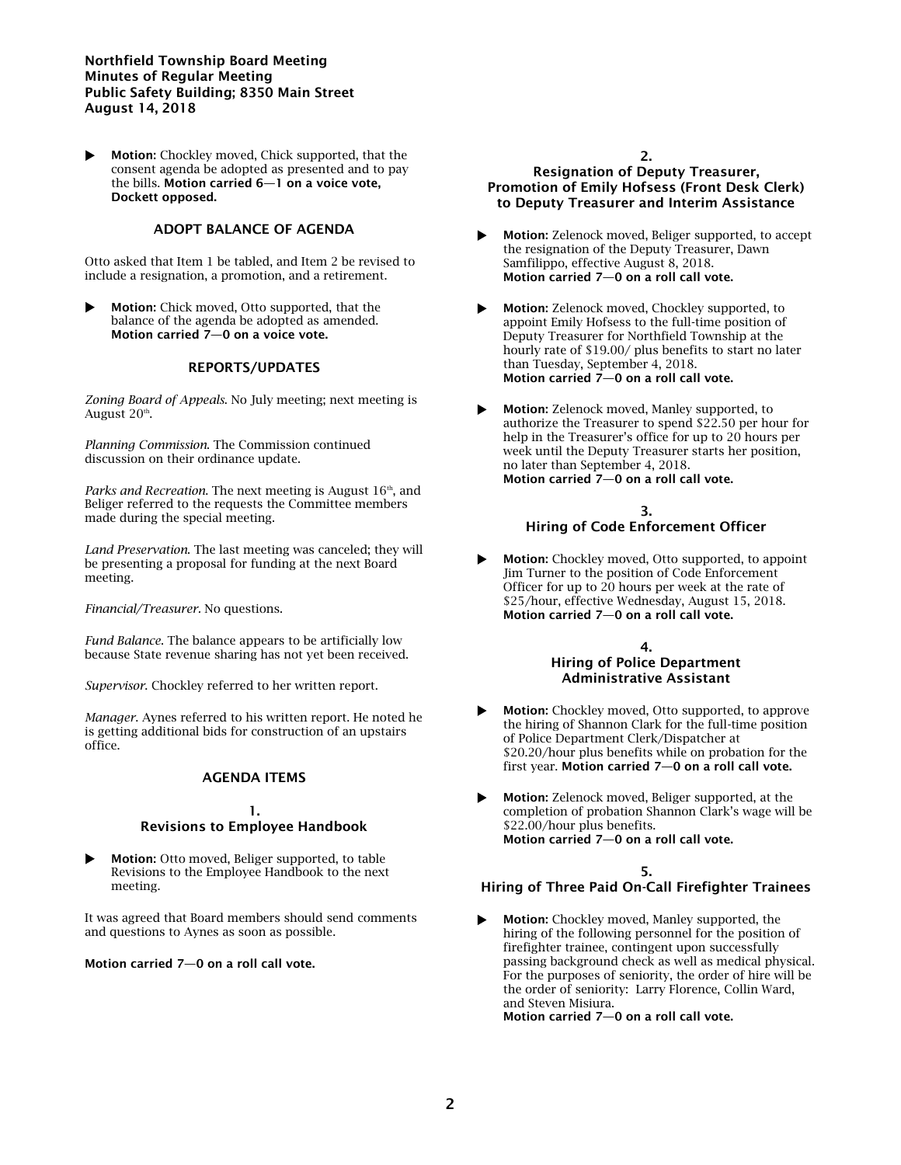### Northfield Township Board Meeting Minutes of Regular Meeting Public Safety Building; 8350 Main Street August 14, 2018

 Motion: Chockley moved, Chick supported, that the consent agenda be adopted as presented and to pay the bills. Motion carried 6—1 on a voice vote, Dockett opposed.

# ADOPT BALANCE OF AGENDA

Otto asked that Item 1 be tabled, and Item 2 be revised to include a resignation, a promotion, and a retirement.

 Motion: Chick moved, Otto supported, that the balance of the agenda be adopted as amended. Motion carried 7—0 on a voice vote.

# REPORTS/UPDATES

*Zoning Board of Appeals*. No July meeting; next meeting is August 20<sup>th</sup>.

*Planning Commission*. The Commission continued discussion on their ordinance update.

*Parks and Recreation*. The next meeting is August 16<sup>th</sup>, and Beliger referred to the requests the Committee members made during the special meeting.

*Land Preservation*. The last meeting was canceled; they will be presenting a proposal for funding at the next Board meeting.

*Financial/Treasurer.* No questions.

*Fund Balance*. The balance appears to be artificially low because State revenue sharing has not yet been received.

*Supervisor*. Chockley referred to her written report.

*Manager*. Aynes referred to his written report. He noted he is getting additional bids for construction of an upstairs office.

### AGENDA ITEMS

#### 1. Revisions to Employee Handbook

 Motion: Otto moved, Beliger supported, to table Revisions to the Employee Handbook to the next meeting.

It was agreed that Board members should send comments and questions to Aynes as soon as possible.

### Motion carried 7—0 on a roll call vote.

### 2. Resignation of Deputy Treasurer, Promotion of Emily Hofsess (Front Desk Clerk) to Deputy Treasurer and Interim Assistance

- Motion: Zelenock moved, Beliger supported, to accept the resignation of the Deputy Treasurer, Dawn Samfilippo, effective August 8, 2018. Motion carried 7—0 on a roll call vote.
- Motion: Zelenock moved, Chockley supported, to appoint Emily Hofsess to the full-time position of Deputy Treasurer for Northfield Township at the hourly rate of \$19.00/ plus benefits to start no later than Tuesday, September 4, 2018. Motion carried 7—0 on a roll call vote.
- Motion: Zelenock moved, Manley supported, to authorize the Treasurer to spend \$22.50 per hour for help in the Treasurer's office for up to 20 hours per week until the Deputy Treasurer starts her position, no later than September 4, 2018. Motion carried 7—0 on a roll call vote.

## 3. Hiring of Code Enforcement Officer

 Motion: Chockley moved, Otto supported, to appoint Jim Turner to the position of Code Enforcement Officer for up to 20 hours per week at the rate of \$25/hour, effective Wednesday, August 15, 2018. Motion carried 7—0 on a roll call vote.

#### 4. Hiring of Police Department Administrative Assistant

- Motion: Chockley moved, Otto supported, to approve the hiring of Shannon Clark for the full-time position of Police Department Clerk/Dispatcher at \$20.20/hour plus benefits while on probation for the first year. Motion carried 7—0 on a roll call vote.
- Motion: Zelenock moved, Beliger supported, at the completion of probation Shannon Clark's wage will be \$22.00/hour plus benefits. Motion carried 7—0 on a roll call vote.

# 5.

# Hiring of Three Paid On-Call Firefighter Trainees

 Motion: Chockley moved, Manley supported, the hiring of the following personnel for the position of firefighter trainee, contingent upon successfully passing background check as well as medical physical. For the purposes of seniority, the order of hire will be the order of seniority: Larry Florence, Collin Ward, and Steven Misiura.

Motion carried 7—0 on a roll call vote.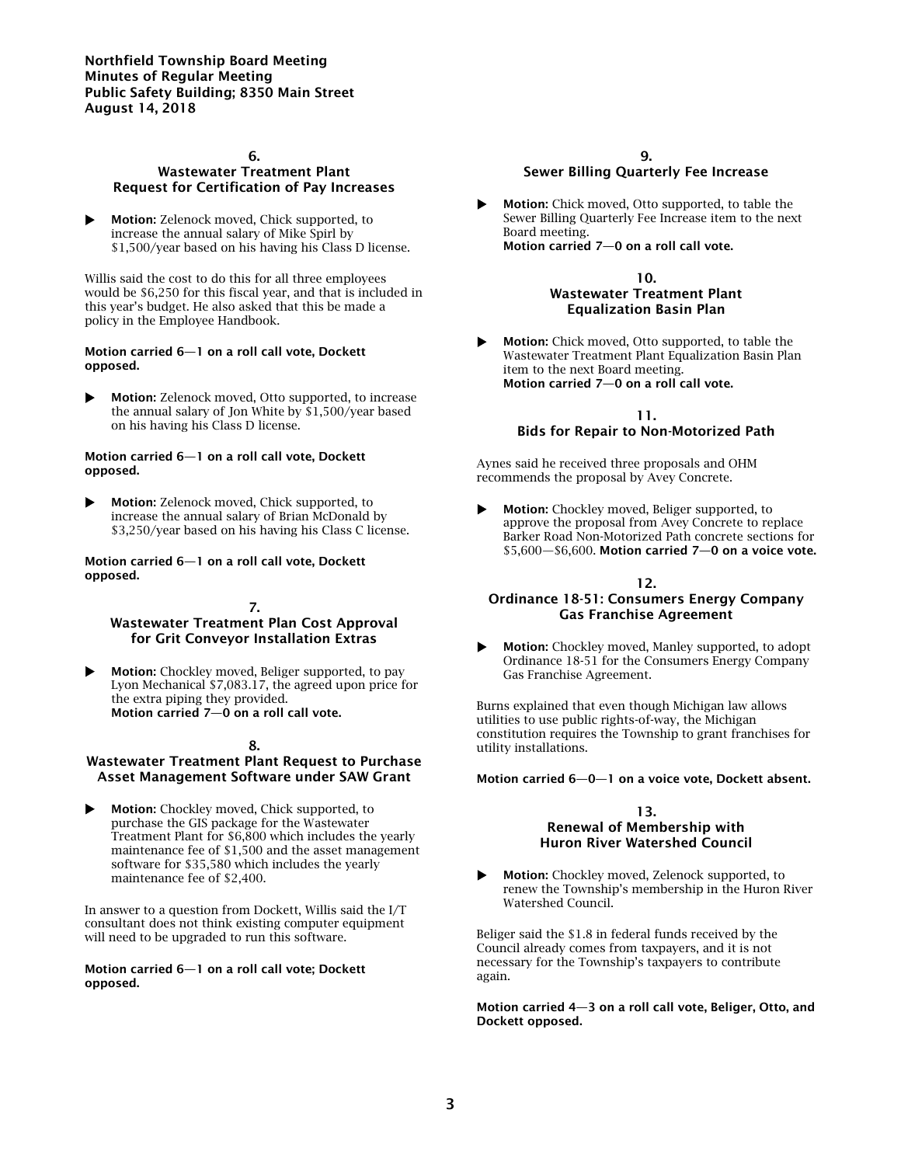Northfield Township Board Meeting Minutes of Regular Meeting Public Safety Building; 8350 Main Street August 14, 2018

### 6. Wastewater Treatment Plant Request for Certification of Pay Increases

 Motion: Zelenock moved, Chick supported, to increase the annual salary of Mike Spirl by \$1,500/year based on his having his Class D license.

Willis said the cost to do this for all three employees would be \$6,250 for this fiscal year, and that is included in this year's budget. He also asked that this be made a policy in the Employee Handbook.

#### Motion carried 6—1 on a roll call vote, Dockett opposed.

 Motion: Zelenock moved, Otto supported, to increase the annual salary of Jon White by \$1,500/year based on his having his Class D license.

#### Motion carried 6—1 on a roll call vote, Dockett opposed.

 Motion: Zelenock moved, Chick supported, to increase the annual salary of Brian McDonald by \$3,250/year based on his having his Class C license.

#### Motion carried 6—1 on a roll call vote, Dockett opposed.

## 7.

# Wastewater Treatment Plan Cost Approval for Grit Conveyor Installation Extras

Motion: Chockley moved, Beliger supported, to pay Lyon Mechanical \$7,083.17, the agreed upon price for the extra piping they provided. Motion carried 7—0 on a roll call vote.

## 8.

# Wastewater Treatment Plant Request to Purchase Asset Management Software under SAW Grant

 Motion: Chockley moved, Chick supported, to purchase the GIS package for the Wastewater Treatment Plant for \$6,800 which includes the yearly maintenance fee of \$1,500 and the asset management software for \$35,580 which includes the yearly maintenance fee of \$2,400.

In answer to a question from Dockett, Willis said the I/T consultant does not think existing computer equipment will need to be upgraded to run this software.

### Motion carried 6—1 on a roll call vote; Dockett opposed.

# 9. Sewer Billing Quarterly Fee Increase

 Motion: Chick moved, Otto supported, to table the Sewer Billing Quarterly Fee Increase item to the next Board meeting. Motion carried 7—0 on a roll call vote.

> 10. Wastewater Treatment Plant Equalization Basin Plan

 Motion: Chick moved, Otto supported, to table the Wastewater Treatment Plant Equalization Basin Plan item to the next Board meeting. Motion carried 7—0 on a roll call vote.

> 11. Bids for Repair to Non-Motorized Path

Aynes said he received three proposals and OHM recommends the proposal by Avey Concrete.

 Motion: Chockley moved, Beliger supported, to approve the proposal from Avey Concrete to replace Barker Road Non-Motorized Path concrete sections for \$5,600—\$6,600. Motion carried 7—0 on a voice vote.

### 12.

# Ordinance 18-51: Consumers Energy Company Gas Franchise Agreement

 Motion: Chockley moved, Manley supported, to adopt Ordinance 18-51 for the Consumers Energy Company Gas Franchise Agreement.

Burns explained that even though Michigan law allows utilities to use public rights-of-way, the Michigan constitution requires the Township to grant franchises for utility installations.

Motion carried 6—0—1 on a voice vote, Dockett absent.

#### 13. Renewal of Membership with Huron River Watershed Council

 Motion: Chockley moved, Zelenock supported, to renew the Township's membership in the Huron River Watershed Council.

Beliger said the \$1.8 in federal funds received by the Council already comes from taxpayers, and it is not necessary for the Township's taxpayers to contribute again.

Motion carried 4—3 on a roll call vote, Beliger, Otto, and Dockett opposed.